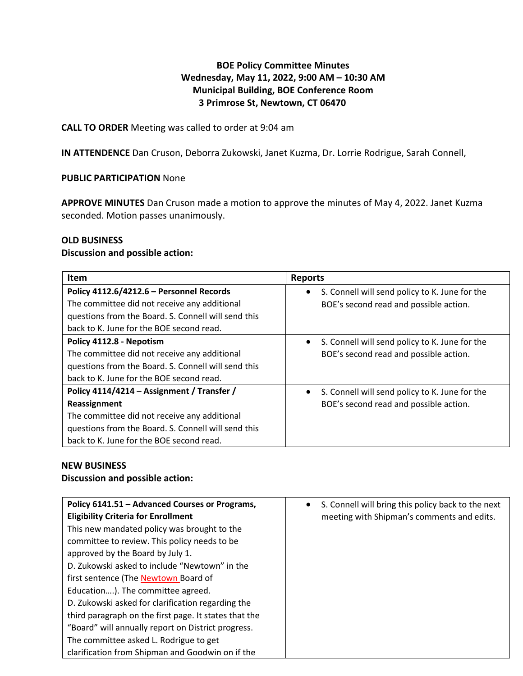# **BOE Policy Committee Minutes Wednesday, May 11, 2022, 9:00 AM – 10:30 AM Municipal Building, BOE Conference Room 3 Primrose St, Newtown, CT 06470**

# **CALL TO ORDER** Meeting was called to order at 9:04 am

**IN ATTENDENCE** Dan Cruson, Deborra Zukowski, Janet Kuzma, Dr. Lorrie Rodrigue, Sarah Connell,

# **PUBLIC PARTICIPATION** None

**APPROVE MINUTES** Dan Cruson made a motion to approve the minutes of May 4, 2022. Janet Kuzma seconded. Motion passes unanimously.

# **OLD BUSINESS**

### **Discussion and possible action:**

| Item                                                                                                                                                                                                          | <b>Reports</b>                                                                                        |
|---------------------------------------------------------------------------------------------------------------------------------------------------------------------------------------------------------------|-------------------------------------------------------------------------------------------------------|
| Policy 4112.6/4212.6 - Personnel Records<br>The committee did not receive any additional<br>questions from the Board. S. Connell will send this<br>back to K. June for the BOE second read.                   | S. Connell will send policy to K. June for the<br>$\bullet$<br>BOE's second read and possible action. |
| Policy 4112.8 - Nepotism<br>The committee did not receive any additional<br>questions from the Board. S. Connell will send this<br>back to K. June for the BOE second read.                                   | S. Connell will send policy to K. June for the<br>$\bullet$<br>BOE's second read and possible action. |
| Policy 4114/4214 - Assignment / Transfer /<br>Reassignment<br>The committee did not receive any additional<br>questions from the Board. S. Connell will send this<br>back to K. June for the BOE second read. | S. Connell will send policy to K. June for the<br>BOE's second read and possible action.              |

# **NEW BUSINESS**

#### **Discussion and possible action:**

| Policy 6141.51 - Advanced Courses or Programs,        | S. Connell will bring this policy back to the next |
|-------------------------------------------------------|----------------------------------------------------|
| <b>Eligibility Criteria for Enrollment</b>            | meeting with Shipman's comments and edits.         |
| This new mandated policy was brought to the           |                                                    |
| committee to review. This policy needs to be          |                                                    |
| approved by the Board by July 1.                      |                                                    |
| D. Zukowski asked to include "Newtown" in the         |                                                    |
| first sentence (The Newtown Board of                  |                                                    |
| Education). The committee agreed.                     |                                                    |
| D. Zukowski asked for clarification regarding the     |                                                    |
| third paragraph on the first page. It states that the |                                                    |
| "Board" will annually report on District progress.    |                                                    |
| The committee asked L. Rodrigue to get                |                                                    |
| clarification from Shipman and Goodwin on if the      |                                                    |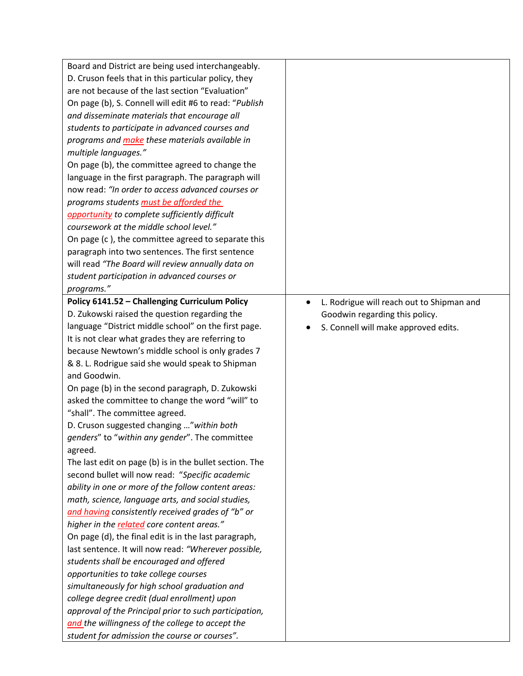| Board and District are being used interchangeably.                                                         |                                                        |
|------------------------------------------------------------------------------------------------------------|--------------------------------------------------------|
| D. Cruson feels that in this particular policy, they                                                       |                                                        |
| are not because of the last section "Evaluation"                                                           |                                                        |
| On page (b), S. Connell will edit #6 to read: "Publish                                                     |                                                        |
| and disseminate materials that encourage all                                                               |                                                        |
| students to participate in advanced courses and                                                            |                                                        |
| programs and <i>make</i> these materials available in                                                      |                                                        |
| multiple languages."                                                                                       |                                                        |
| On page (b), the committee agreed to change the                                                            |                                                        |
| language in the first paragraph. The paragraph will                                                        |                                                        |
| now read: "In order to access advanced courses or                                                          |                                                        |
| programs students must be afforded the                                                                     |                                                        |
| opportunity to complete sufficiently difficult                                                             |                                                        |
| coursework at the middle school level."                                                                    |                                                        |
| On page (c), the committee agreed to separate this                                                         |                                                        |
| paragraph into two sentences. The first sentence                                                           |                                                        |
| will read "The Board will review annually data on                                                          |                                                        |
| student participation in advanced courses or                                                               |                                                        |
| programs."                                                                                                 |                                                        |
| Policy 6141.52 - Challenging Curriculum Policy                                                             | L. Rodrigue will reach out to Shipman and<br>$\bullet$ |
| D. Zukowski raised the question regarding the                                                              |                                                        |
| language "District middle school" on the first page.                                                       | Goodwin regarding this policy.                         |
| It is not clear what grades they are referring to                                                          | S. Connell will make approved edits.                   |
| because Newtown's middle school is only grades 7                                                           |                                                        |
|                                                                                                            |                                                        |
| & 8. L. Rodrigue said she would speak to Shipman<br>and Goodwin.                                           |                                                        |
| On page (b) in the second paragraph, D. Zukowski                                                           |                                                        |
| asked the committee to change the word "will" to                                                           |                                                        |
| "shall". The committee agreed.                                                                             |                                                        |
| D. Cruson suggested changing " within both                                                                 |                                                        |
| genders" to "within any gender". The committee                                                             |                                                        |
|                                                                                                            |                                                        |
| agreed.                                                                                                    |                                                        |
| The last edit on page (b) is in the bullet section. The<br>second bullet will now read: "Specific academic |                                                        |
| ability in one or more of the follow content areas:                                                        |                                                        |
| math, science, language arts, and social studies,                                                          |                                                        |
| and having consistently received grades of "b" or                                                          |                                                        |
| higher in the related core content areas."                                                                 |                                                        |
| On page (d), the final edit is in the last paragraph,                                                      |                                                        |
| last sentence. It will now read: "Wherever possible,                                                       |                                                        |
|                                                                                                            |                                                        |
| students shall be encouraged and offered                                                                   |                                                        |
| opportunities to take college courses                                                                      |                                                        |
| simultaneously for high school graduation and                                                              |                                                        |
| college degree credit (dual enrollment) upon                                                               |                                                        |
| approval of the Principal prior to such participation,                                                     |                                                        |
| and the willingness of the college to accept the                                                           |                                                        |
| student for admission the course or courses".                                                              |                                                        |